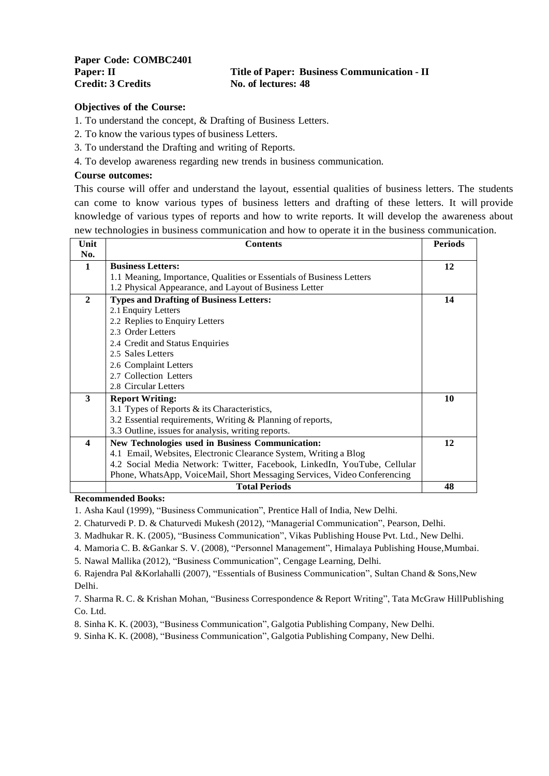# **Paper: II Title of Paper: Business Communication - II**

#### **Objectives of the Course:**

1. To understand the concept, & Drafting of Business Letters.

- 2. To know the various types of business Letters.
- 3. To understand the Drafting and writing of Reports.
- 4. To develop awareness regarding new trends in business communication.

#### **Course outcomes:**

This course will offer and understand the layout, essential qualities of business letters. The students can come to know various types of business letters and drafting of these letters. It will provide knowledge of various types of reports and how to write reports. It will develop the awareness about new technologies in business communication and how to operate it in the business communication.

| Unit             | <b>Contents</b>                                                          | <b>Periods</b> |
|------------------|--------------------------------------------------------------------------|----------------|
| No.              |                                                                          |                |
| 1                | <b>Business Letters:</b>                                                 | 12             |
|                  | 1.1 Meaning, Importance, Qualities or Essentials of Business Letters     |                |
|                  | 1.2 Physical Appearance, and Layout of Business Letter                   |                |
| $\mathbf{2}$     | <b>Types and Drafting of Business Letters:</b>                           | 14             |
|                  | 2.1 Enquiry Letters                                                      |                |
|                  | 2.2 Replies to Enquiry Letters                                           |                |
|                  | 2.3 Order Letters                                                        |                |
|                  | 2.4 Credit and Status Enquiries                                          |                |
|                  | 2.5 Sales Letters                                                        |                |
|                  | 2.6 Complaint Letters                                                    |                |
|                  | 2.7 Collection Letters                                                   |                |
|                  | 2.8 Circular Letters                                                     |                |
| 3                | <b>Report Writing:</b>                                                   | 10             |
|                  | 3.1 Types of Reports & its Characteristics,                              |                |
|                  | 3.2 Essential requirements, Writing & Planning of reports,               |                |
|                  | 3.3 Outline, issues for analysis, writing reports.                       |                |
| $\boldsymbol{4}$ | New Technologies used in Business Communication:                         | 12             |
|                  | 4.1 Email, Websites, Electronic Clearance System, Writing a Blog         |                |
|                  | 4.2 Social Media Network: Twitter, Facebook, LinkedIn, YouTube, Cellular |                |
|                  | Phone, WhatsApp, VoiceMail, Short Messaging Services, Video Conferencing |                |
|                  | <b>Total Periods</b>                                                     | 48             |

#### **Recommended Books:**

1. Asha Kaul (1999), "Business Communication", Prentice Hall of India, New Delhi.

2. Chaturvedi P. D. & Chaturvedi Mukesh (2012), "Managerial Communication", Pearson, Delhi.

3. Madhukar R. K. (2005), "Business Communication", Vikas Publishing House Pvt. Ltd., New Delhi.

4. Mamoria C. B. &Gankar S. V. (2008), "Personnel Management", Himalaya Publishing House,Mumbai.

5. Nawal Mallika (2012), "Business Communication", Cengage Learning, Delhi.

6. Rajendra Pal &Korlahalli (2007), "Essentials of Business Communication", Sultan Chand & Sons,New Delhi.

7. Sharma R. C. & Krishan Mohan, "Business Correspondence & Report Writing", Tata McGraw HillPublishing Co. Ltd.

8. Sinha K. K. (2003), "Business Communication", Galgotia Publishing Company, New Delhi.

9. Sinha K. K. (2008), "Business Communication", Galgotia Publishing Company, New Delhi.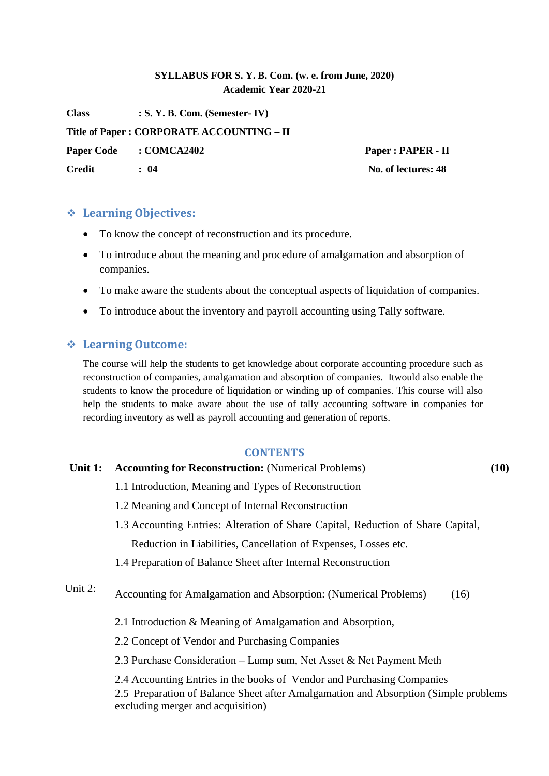# **SYLLABUS FOR S. Y. B. Com. (w. e. from June, 2020) Academic Year 2020-21**

**Class : S. Y. B. Com. (Semester- IV) Title of Paper : CORPORATE ACCOUNTING – II Paper Code : COMCA2402 Paper : PAPER - II Credit : 04 No. of lectures: 48**

# **Learning Objectives:**

- To know the concept of reconstruction and its procedure.
- To introduce about the meaning and procedure of amalgamation and absorption of companies.
- To make aware the students about the conceptual aspects of liquidation of companies.
- To introduce about the inventory and payroll accounting using Tally software.

# **Learning Outcome:**

The course will help the students to get knowledge about corporate accounting procedure such as reconstruction of companies, amalgamation and absorption of companies. Itwould also enable the students to know the procedure of liquidation or winding up of companies. This course will also help the students to make aware about the use of tally accounting software in companies for recording inventory as well as payroll accounting and generation of reports.

### **CONTENTS**

### **Unit 1: Accounting for Reconstruction:** (Numerical Problems) **(10)**

- 1.1 Introduction, Meaning and Types of Reconstruction
- 1.2 Meaning and Concept of Internal Reconstruction
- 1.3 Accounting Entries: Alteration of Share Capital, Reduction of Share Capital, Reduction in Liabilities, Cancellation of Expenses, Losses etc.
- 1.4 Preparation of Balance Sheet after Internal Reconstruction
- Unit 2: Accounting for Amalgamation and Absorption: (Numerical Problems) (16)
	- 2.1 Introduction & Meaning of Amalgamation and Absorption,
	- 2.2 Concept of Vendor and Purchasing Companies

2.3 Purchase Consideration – Lump sum, Net Asset & Net Payment Meth

2.4 Accounting Entries in the books of Vendor and Purchasing Companies

2.5 Preparation of Balance Sheet after Amalgamation and Absorption (Simple problems excluding merger and acquisition)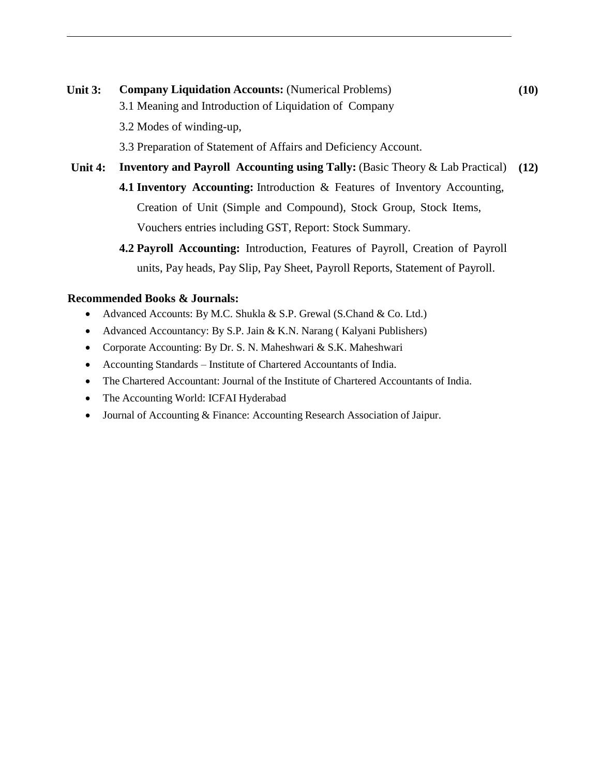# **Unit 3: Company Liquidation Accounts:** (Numerical Problems) **(10)** 3.1 Meaning and Introduction of Liquidation of Company 3.2 Modes of winding-up, 3.3 Preparation of Statement of Affairs and Deficiency Account. **Unit 4: Inventory and Payroll Accounting using Tally:** (Basic Theory & Lab Practical) **(12) 4.1 Inventory Accounting:** Introduction & Features of Inventory Accounting, Creation of Unit (Simple and Compound), Stock Group, Stock Items, Vouchers entries including GST, Report: Stock Summary.

**4.2 Payroll Accounting:** Introduction, Features of Payroll, Creation of Payroll units, Pay heads, Pay Slip, Pay Sheet, Payroll Reports, Statement of Payroll.

## **Recommended Books & Journals:**

- Advanced Accounts: By M.C. Shukla & S.P. Grewal (S.Chand & Co. Ltd.)
- Advanced Accountancy: By S.P. Jain & K.N. Narang ( Kalyani Publishers)
- Corporate Accounting: By Dr. S. N. Maheshwari & S.K. Maheshwari
- Accounting Standards Institute of Chartered Accountants of India.
- The Chartered Accountant: Journal of the Institute of Chartered Accountants of India.
- The Accounting World: ICFAI Hyderabad
- Journal of Accounting & Finance: Accounting Research Association of Jaipur.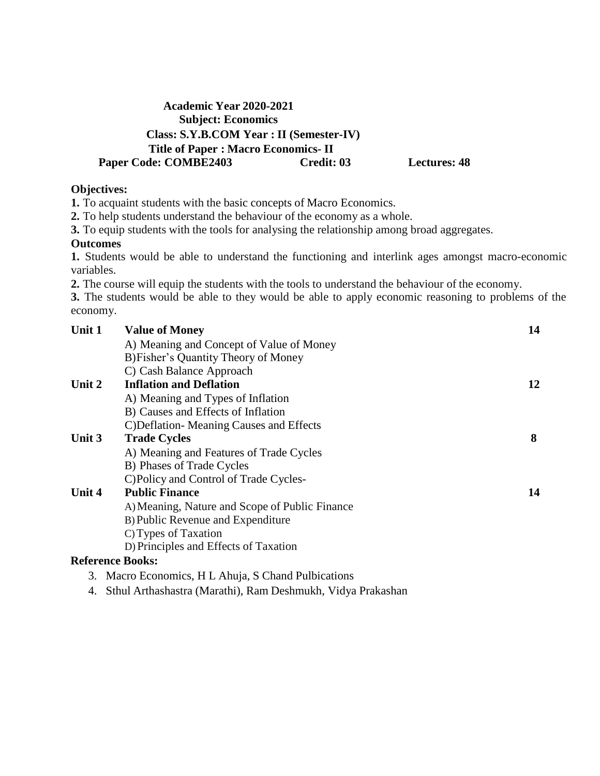# **Academic Year 2020-2021 Subject: Economics Class: S.Y.B.COM Year : II (Semester-IV) Title of Paper : Macro Economics- II Paper Code: COMBE2403 Credit: 03 Lectures: 48**

## **Objectives:**

**1.** To acquaint students with the basic concepts of Macro Economics.

**2.** To help students understand the behaviour of the economy as a whole.

**3.** To equip students with the tools for analysing the relationship among broad aggregates.

### **Outcomes**

**1.** Students would be able to understand the functioning and interlink ages amongst macro-economic variables.

**2.** The course will equip the students with the tools to understand the behaviour of the economy.

**3.** The students would be able to they would be able to apply economic reasoning to problems of the economy.

| Unit 1 | <b>Value of Money</b>                               | 14 |
|--------|-----------------------------------------------------|----|
|        | A) Meaning and Concept of Value of Money            |    |
|        | B) Fisher's Quantity Theory of Money                |    |
|        | C) Cash Balance Approach                            |    |
| Unit 2 | <b>Inflation and Deflation</b>                      | 12 |
|        | A) Meaning and Types of Inflation                   |    |
|        | B) Causes and Effects of Inflation                  |    |
|        | C) Deflation-Meaning Causes and Effects             |    |
| Unit 3 | <b>Trade Cycles</b>                                 | 8  |
|        | A) Meaning and Features of Trade Cycles             |    |
|        | B) Phases of Trade Cycles                           |    |
|        | C) Policy and Control of Trade Cycles-              |    |
| Unit 4 | <b>Public Finance</b>                               | 14 |
|        | A) Meaning, Nature and Scope of Public Finance      |    |
|        | B) Public Revenue and Expenditure                   |    |
|        | C) Types of Taxation                                |    |
|        | D) Principles and Effects of Taxation               |    |
|        | <b>Reference Books:</b>                             |    |
|        | 3. Macro Economics, H L Ahuja, S Chand Pulbications |    |

4. Sthul Arthashastra (Marathi), Ram Deshmukh, Vidya Prakashan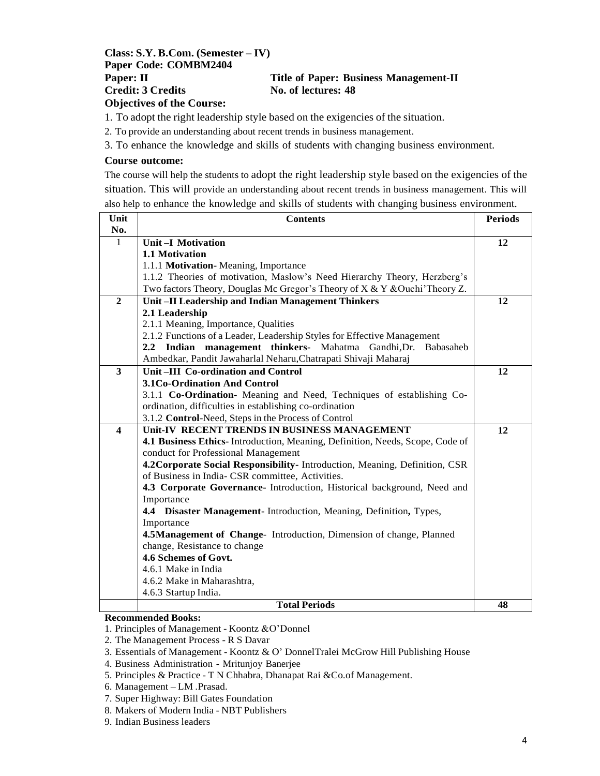#### **Class: S.Y. B.Com. (Semester – IV) Paper Code: COMBM2404 Paper: II Title of Paper: Business Management-II Credit: 3 Credits No. of lectures: 48 Objectives of the Course:**

1. To adopt the right leadership style based on the exigencies of the situation.

2. To provide an understanding about recent trends in business management.

3. To enhance the knowledge and skills of students with changing business environment.

#### **Course outcome:**

The course will help the students to adopt the right leadership style based on the exigencies of the situation. This will provide an understanding about recent trends in business management. This will also help to enhance the knowledge and skills of students with changing business environment.

| Unit                    | <b>Contents</b>                                                              | <b>Periods</b> |
|-------------------------|------------------------------------------------------------------------------|----------------|
| No.                     |                                                                              |                |
| $\mathbf{1}$            | <b>Unit-I Motivation</b>                                                     | 12             |
|                         | 1.1 Motivation                                                               |                |
|                         | 1.1.1 Motivation-Meaning, Importance                                         |                |
|                         | 1.1.2 Theories of motivation, Maslow's Need Hierarchy Theory, Herzberg's     |                |
|                         | Two factors Theory, Douglas Mc Gregor's Theory of X & Y & Ouchi' Theory Z.   |                |
| $\overline{2}$          | Unit-II Leadership and Indian Management Thinkers                            | 12             |
|                         | 2.1 Leadership                                                               |                |
|                         | 2.1.1 Meaning, Importance, Qualities                                         |                |
|                         | 2.1.2 Functions of a Leader, Leadership Styles for Effective Management      |                |
|                         | 2.2 Indian management thinkers- Mahatma Gandhi, Dr.<br>Babasaheb             |                |
|                         | Ambedkar, Pandit Jawaharlal Neharu, Chatrapati Shivaji Maharaj               |                |
| 3                       | Unit-III Co-ordination and Control                                           | 12             |
|                         | 3.1Co-Ordination And Control                                                 |                |
|                         | 3.1.1 Co-Ordination- Meaning and Need, Techniques of establishing Co-        |                |
|                         | ordination, difficulties in establishing co-ordination                       |                |
|                         | 3.1.2 Control-Need, Steps in the Process of Control                          |                |
| $\overline{\mathbf{4}}$ | Unit-IV RECENT TRENDS IN BUSINESS MANAGEMENT                                 | 12             |
|                         | 4.1 Business Ethics-Introduction, Meaning, Definition, Needs, Scope, Code of |                |
|                         | conduct for Professional Management                                          |                |
|                         | 4.2 Corporate Social Responsibility- Introduction, Meaning, Definition, CSR  |                |
|                         | of Business in India- CSR committee, Activities.                             |                |
|                         | 4.3 Corporate Governance- Introduction, Historical background, Need and      |                |
|                         | Importance                                                                   |                |
|                         | 4.4 Disaster Management- Introduction, Meaning, Definition, Types,           |                |
|                         | Importance                                                                   |                |
|                         | 4.5Management of Change- Introduction, Dimension of change, Planned          |                |
|                         | change, Resistance to change                                                 |                |
|                         | 4.6 Schemes of Govt.                                                         |                |
|                         | 4.6.1 Make in India                                                          |                |
|                         | 4.6.2 Make in Maharashtra,                                                   |                |
|                         | 4.6.3 Startup India.                                                         |                |
|                         | <b>Total Periods</b>                                                         | 48             |

#### **Recommended Books:**

1. Principles of Management - Koontz &O'Donnel

2. The Management Process - R S Davar

- 5. Principles & Practice T N Chhabra, Dhanapat Rai &Co.of Management.
- 6. Management LM .Prasad.
- 7. Super Highway: Bill Gates Foundation
- 8. Makers of Modern India NBT Publishers
- 9. Indian Business leaders

<sup>3.</sup> Essentials of Management - Koontz & O' DonnelTralei McGrow Hill Publishing House

<sup>4.</sup> Business Administration - Mritunjoy Banerjee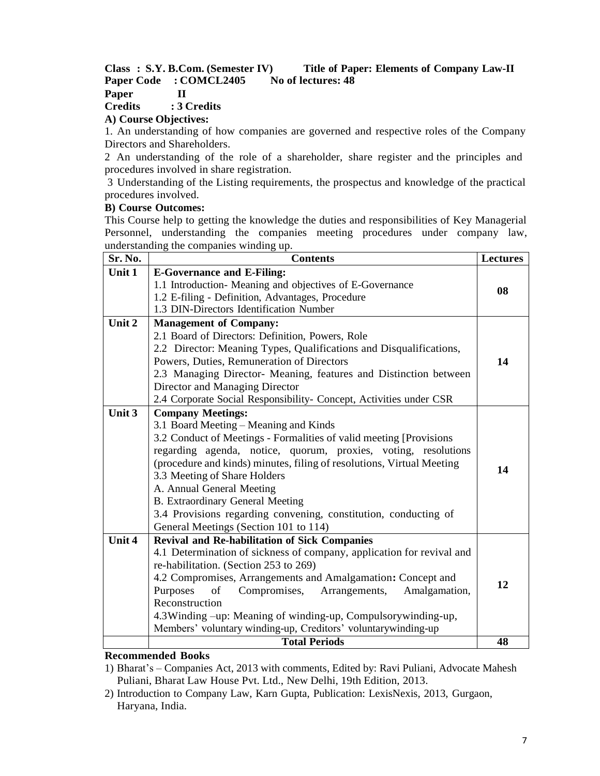#### **Class : S.Y. B.Com. (Semester IV) Title of Paper: Elements of Company Law-II Paper Code : COMCL2405 No of lectures: 48 Paper II**

#### **Credits : 3 Credits**

#### **A) Course Objectives:**

1. An understanding of how companies are governed and respective roles of the Company Directors and Shareholders.

2 An understanding of the role of a shareholder, share register and the principles and procedures involved in share registration.

3 Understanding of the Listing requirements, the prospectus and knowledge of the practical procedures involved.

#### **B) Course Outcomes:**

This Course help to getting the knowledge the duties and responsibilities of Key Managerial Personnel, understanding the companies meeting procedures under company law, understanding the companies winding up.

| Sr. No. | <b>Contents</b>                                                       | <b>Lectures</b> |
|---------|-----------------------------------------------------------------------|-----------------|
| Unit 1  | <b>E-Governance and E-Filing:</b>                                     |                 |
|         | 1.1 Introduction- Meaning and objectives of E-Governance              | 08              |
|         | 1.2 E-filing - Definition, Advantages, Procedure                      |                 |
|         | 1.3 DIN-Directors Identification Number                               |                 |
| Unit 2  | <b>Management of Company:</b>                                         |                 |
|         | 2.1 Board of Directors: Definition, Powers, Role                      |                 |
|         | 2.2 Director: Meaning Types, Qualifications and Disqualifications,    |                 |
|         | Powers, Duties, Remuneration of Directors                             | 14              |
|         | 2.3 Managing Director- Meaning, features and Distinction between      |                 |
|         | Director and Managing Director                                        |                 |
|         | 2.4 Corporate Social Responsibility- Concept, Activities under CSR    |                 |
| Unit 3  | <b>Company Meetings:</b>                                              |                 |
|         | 3.1 Board Meeting - Meaning and Kinds                                 |                 |
|         | 3.2 Conduct of Meetings - Formalities of valid meeting [Provisions]   |                 |
|         | regarding agenda, notice, quorum, proxies, voting, resolutions        |                 |
|         | (procedure and kinds) minutes, filing of resolutions, Virtual Meeting | 14              |
|         | 3.3 Meeting of Share Holders                                          |                 |
|         | A. Annual General Meeting                                             |                 |
|         | <b>B.</b> Extraordinary General Meeting                               |                 |
|         | 3.4 Provisions regarding convening, constitution, conducting of       |                 |
|         | General Meetings (Section 101 to 114)                                 |                 |
| Unit 4  | <b>Revival and Re-habilitation of Sick Companies</b>                  |                 |
|         | 4.1 Determination of sickness of company, application for revival and |                 |
|         | re-habilitation. (Section 253 to 269)                                 |                 |
|         | 4.2 Compromises, Arrangements and Amalgamation: Concept and           | 12              |
|         | Purposes<br>of<br>Compromises,<br>Arrangements,<br>Amalgamation,      |                 |
|         | Reconstruction                                                        |                 |
|         | 4.3 Winding -up: Meaning of winding-up, Compulsorywinding-up,         |                 |
|         | Members' voluntary winding-up, Creditors' voluntarywinding-up         |                 |
|         | <b>Total Periods</b>                                                  | 48              |

#### **Recommended Books**

1) Bharat's – Companies Act, 2013 with comments, Edited by: Ravi Puliani, Advocate Mahesh Puliani, Bharat Law House Pvt. Ltd., New Delhi, 19th Edition, 2013.

2) Introduction to Company Law, Karn Gupta, Publication: LexisNexis, 2013, Gurgaon, Haryana, India.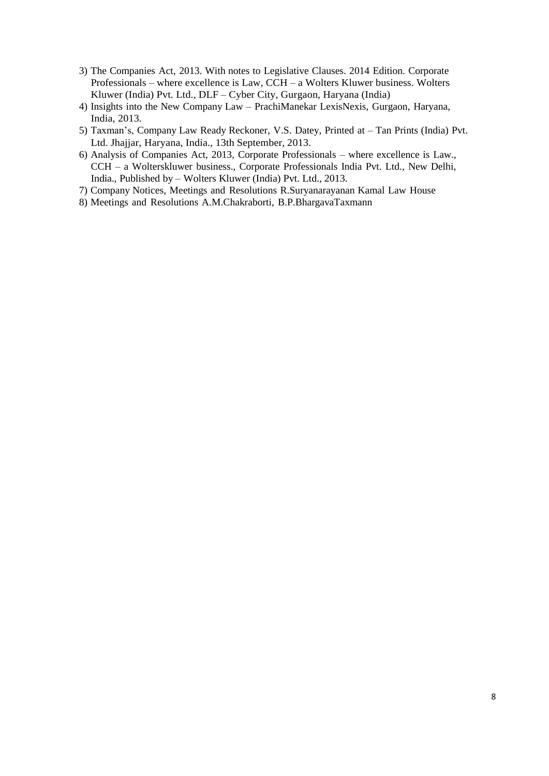- 3) The Companies Act, 2013. With notes to Legislative Clauses. 2014 Edition. Corporate Professionals – where excellence is Law, CCH – a Wolters Kluwer business. Wolters Kluwer (India) Pvt. Ltd., DLF – Cyber City, Gurgaon, Haryana (India)
- 4) Insights into the New Company Law PrachiManekar LexisNexis, Gurgaon, Haryana, India, 2013.
- 5) Taxman's, Company Law Ready Reckoner, V.S. Datey, Printed at Tan Prints (India) Pvt. Ltd. Jhajjar, Haryana, India., 13th September, 2013.
- 6) Analysis of Companies Act, 2013, Corporate Professionals where excellence is Law., CCH – a Wolterskluwer business., Corporate Professionals India Pvt. Ltd., New Delhi, India., Published by – Wolters Kluwer (India) Pvt. Ltd., 2013.
- 7) Company Notices, Meetings and Resolutions R.Suryanarayanan Kamal Law House
- 8) Meetings and Resolutions A.M.Chakraborti, B.P.BhargavaTaxmann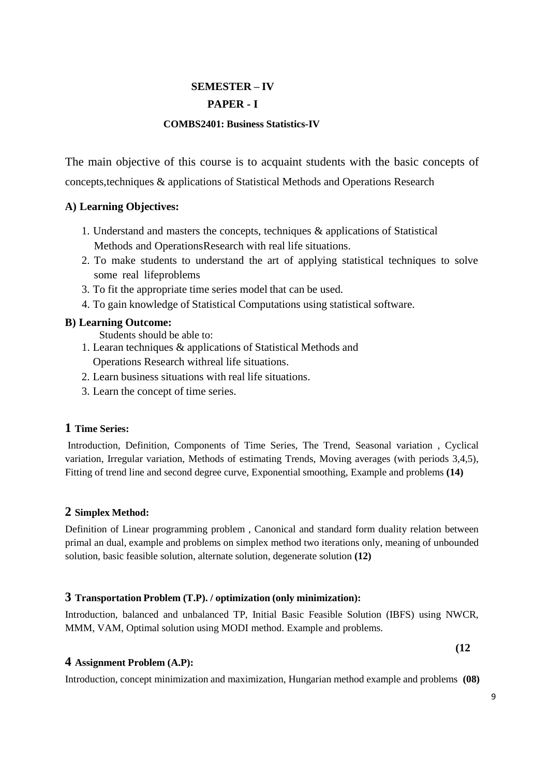# **SEMESTER – IV**

# **PAPER - I**

### **COMBS2401: Business Statistics-IV**

The main objective of this course is to acquaint students with the basic concepts of concepts,techniques & applications of Statistical Methods and Operations Research

# **A) Learning Objectives:**

- 1. Understand and masters the concepts, techniques & applications of Statistical Methods and OperationsResearch with real life situations.
- 2. To make students to understand the art of applying statistical techniques to solve some real lifeproblems
- 3. To fit the appropriate time series model that can be used.
- 4. To gain knowledge of Statistical Computations using statistical software.

# **B) Learning Outcome:**

Students should be able to:

- 1. Learan techniques & applications of Statistical Methods and Operations Research withreal life situations.
- 2. Learn business situations with real life situations.
- 3. Learn the concept of time series.

### **1 Time Series:**

Introduction, Definition, Components of Time Series, The Trend, Seasonal variation , Cyclical variation, Irregular variation, Methods of estimating Trends, Moving averages (with periods 3,4,5), Fitting of trend line and second degree curve, Exponential smoothing, Example and problems **(14)**

### **2 Simplex Method:**

Definition of Linear programming problem , Canonical and standard form duality relation between primal an dual, example and problems on simplex method two iterations only, meaning of unbounded solution, basic feasible solution, alternate solution, degenerate solution **(12)**

### **3 Transportation Problem (T.P). / optimization (only minimization):**

Introduction, balanced and unbalanced TP, Initial Basic Feasible Solution (IBFS) using NWCR, MMM, VAM, Optimal solution using MODI method. Example and problems.

# **4 Assignment Problem (A.P):**

Introduction, concept minimization and maximization, Hungarian method example and problems **(08)**

**(12**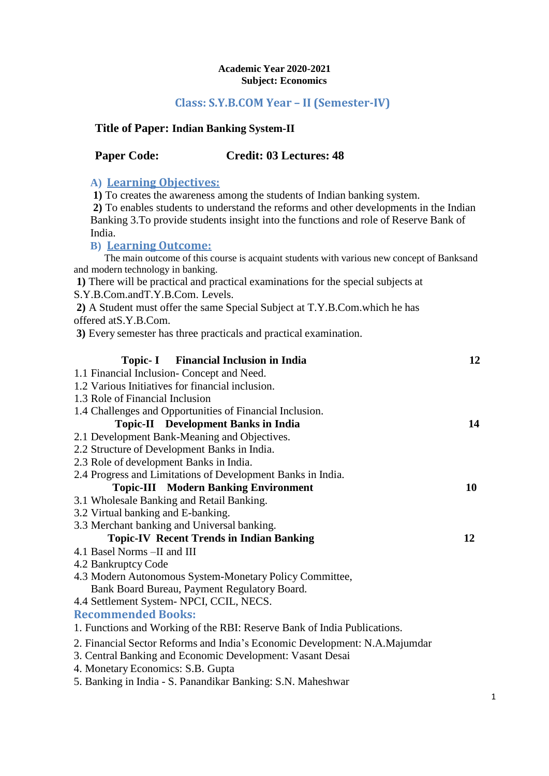#### **Academic Year 2020-2021 Subject: Economics**

# **Class: S.Y.B.COM Year – II (Semester-IV)**

# **Title of Paper: Indian Banking System-II**

# **Paper Code: Credit: 03 Lectures: 48**

# **A) Learning Objectives:**

**1)** To creates the awareness among the students of Indian banking system.

**2)** To enables students to understand the reforms and other developments in the Indian Banking 3.To provide students insight into the functions and role of Reserve Bank of India.

# **B) Learning Outcome:**

The main outcome of this course is acquaint students with various new concept of Banksand and modern technology in banking.

**1)** There will be practical and practical examinations for the special subjects at S.Y.B.Com.andT.Y.B.Com. Levels.

**2)** A Student must offer the same Special Subject at T.Y.B.Com.which he has

offered atS.Y.B.Com.

**3)** Every semester has three practicals and practical examination.

| <b>Topic-I</b> Financial Inclusion in India                                | 12 |
|----------------------------------------------------------------------------|----|
| 1.1 Financial Inclusion-Concept and Need.                                  |    |
| 1.2 Various Initiatives for financial inclusion.                           |    |
| 1.3 Role of Financial Inclusion                                            |    |
| 1.4 Challenges and Opportunities of Financial Inclusion.                   |    |
| <b>Topic-II</b> Development Banks in India                                 | 14 |
| 2.1 Development Bank-Meaning and Objectives.                               |    |
| 2.2 Structure of Development Banks in India.                               |    |
| 2.3 Role of development Banks in India.                                    |    |
| 2.4 Progress and Limitations of Development Banks in India.                |    |
| <b>Topic-III Modern Banking Environment</b>                                | 10 |
| 3.1 Wholesale Banking and Retail Banking.                                  |    |
| 3.2 Virtual banking and E-banking.                                         |    |
| 3.3 Merchant banking and Universal banking.                                |    |
| <b>Topic-IV Recent Trends in Indian Banking</b>                            | 12 |
| 4.1 Basel Norms - II and III                                               |    |
| 4.2 Bankruptcy Code                                                        |    |
| 4.3 Modern Autonomous System-Monetary Policy Committee,                    |    |
| Bank Board Bureau, Payment Regulatory Board.                               |    |
| 4.4 Settlement System-NPCI, CCIL, NECS.                                    |    |
| <b>Recommended Books:</b>                                                  |    |
| 1. Functions and Working of the RBI: Reserve Bank of India Publications.   |    |
| 2. Financial Sector Reforms and India's Economic Development: N.A.Majumdar |    |
| 3. Central Banking and Economic Development: Vasant Desai                  |    |
| 4. Monetary Economics: S.B. Gupta                                          |    |
| 5. Banking in India - S. Panandikar Banking: S.N. Maheshwar                |    |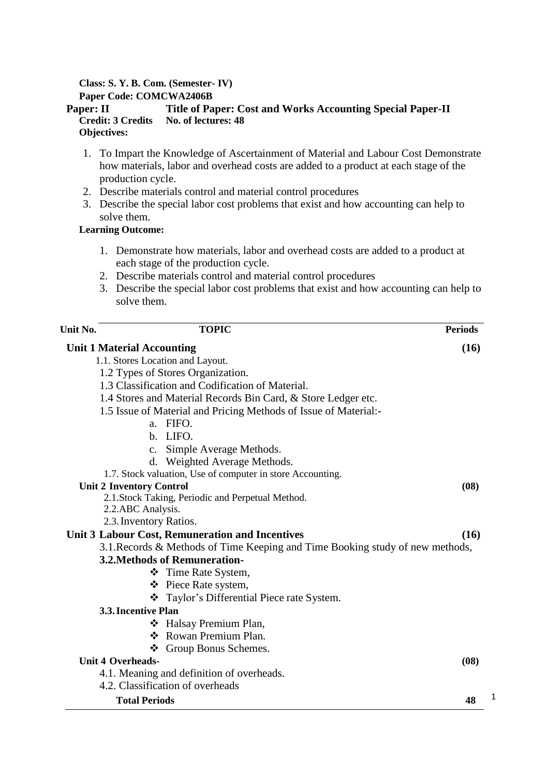### **Class: S. Y. B. Com. (Semester- IV)**

**Paper Code: COMCWA2406B**

#### **Paper: II Title of Paper: Cost and Works Accounting Special Paper-II Credit: 3 Credits No. of lectures: 48 Objectives:**

- 1. To Impart the Knowledge of Ascertainment of Material and Labour Cost Demonstrate how materials, labor and overhead costs are added to a product at each stage of the production cycle.
- 2. Describe materials control and material control procedures
- 3. Describe the special labor cost problems that exist and how accounting can help to solve them.

## **Learning Outcome:**

- 1. Demonstrate how materials, labor and overhead costs are added to a product at each stage of the production cycle.
- 2. Describe materials control and material control procedures
- 3. Describe the special labor cost problems that exist and how accounting can help to solve them.

| Unit No. | <b>TOPIC</b>                                                                  | <b>Periods</b> |
|----------|-------------------------------------------------------------------------------|----------------|
|          | <b>Unit 1 Material Accounting</b>                                             | (16)           |
|          | 1.1. Stores Location and Layout.                                              |                |
|          | 1.2 Types of Stores Organization.                                             |                |
|          | 1.3 Classification and Codification of Material.                              |                |
|          | 1.4 Stores and Material Records Bin Card, & Store Ledger etc.                 |                |
|          | 1.5 Issue of Material and Pricing Methods of Issue of Material:               |                |
|          | a. FIFO.                                                                      |                |
|          | b. LIFO.                                                                      |                |
|          | c. Simple Average Methods.                                                    |                |
|          | d. Weighted Average Methods.                                                  |                |
|          | 1.7. Stock valuation, Use of computer in store Accounting.                    |                |
|          | <b>Unit 2 Inventory Control</b>                                               | (08)           |
|          | 2.1. Stock Taking, Periodic and Perpetual Method.                             |                |
|          | 2.2.ABC Analysis.                                                             |                |
|          | 2.3. Inventory Ratios.                                                        |                |
|          | Unit 3 Labour Cost, Remuneration and Incentives                               | (16)           |
|          | 3.1. Records & Methods of Time Keeping and Time Booking study of new methods, |                |
|          | <b>3.2. Methods of Remuneration-</b>                                          |                |
|          | ❖ Time Rate System,                                                           |                |
|          | ❖ Piece Rate system,                                                          |                |
|          | ❖ Taylor's Differential Piece rate System.                                    |                |
|          | 3.3. Incentive Plan                                                           |                |
|          | ❖ Halsay Premium Plan,                                                        |                |
|          | ❖ Rowan Premium Plan.                                                         |                |
|          | ❖ Group Bonus Schemes.                                                        |                |
|          | <b>Unit 4 Overheads-</b>                                                      | (08)           |
|          | 4.1. Meaning and definition of overheads.                                     |                |
|          | 4.2. Classification of overheads                                              |                |
|          | <b>Total Periods</b>                                                          | 48             |

1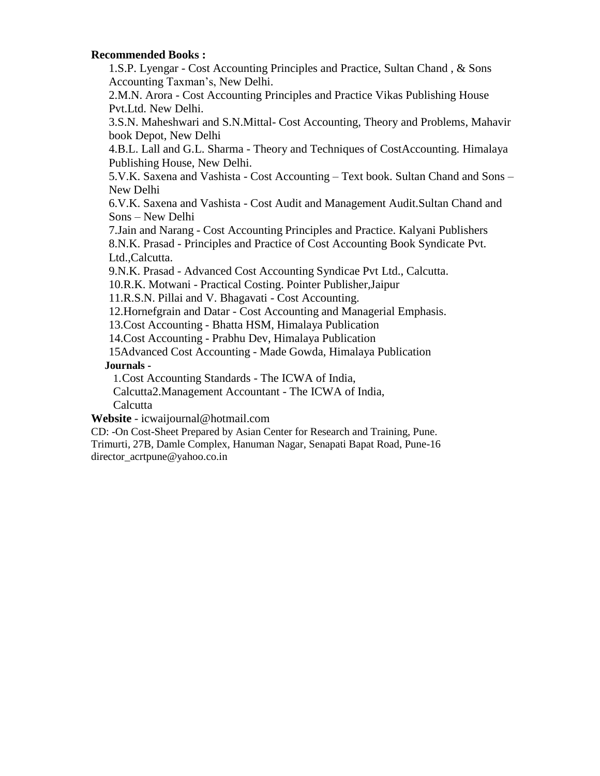#### **Recommended Books :**

1.S.P. Lyengar - Cost Accounting Principles and Practice, Sultan Chand , & Sons Accounting Taxman's, New Delhi.

2.M.N. Arora - Cost Accounting Principles and Practice Vikas Publishing House Pvt.Ltd. New Delhi.

3.S.N. Maheshwari and S.N.Mittal- Cost Accounting, Theory and Problems, Mahavir book Depot, New Delhi

4.B.L. Lall and G.L. Sharma - Theory and Techniques of CostAccounting. Himalaya Publishing House, New Delhi.

5.V.K. Saxena and Vashista - Cost Accounting – Text book. Sultan Chand and Sons – New Delhi

6.V.K. Saxena and Vashista - Cost Audit and Management Audit.Sultan Chand and Sons – New Delhi

7.Jain and Narang - Cost Accounting Principles and Practice. Kalyani Publishers 8.N.K. Prasad - Principles and Practice of Cost Accounting Book Syndicate Pvt. Ltd.,Calcutta.

9.N.K. Prasad - Advanced Cost Accounting Syndicae Pvt Ltd., Calcutta.

10.R.K. Motwani - Practical Costing. Pointer Publisher,Jaipur

11.R.S.N. Pillai and V. Bhagavati - Cost Accounting.

12.Hornefgrain and Datar - Cost Accounting and Managerial Emphasis.

13.Cost Accounting - Bhatta HSM, Himalaya Publication

14.Cost Accounting - Prabhu Dev, Himalaya Publication

15Advanced Cost Accounting - Made Gowda, Himalaya Publication

#### **Journals -**

1.Cost Accounting Standards - The ICWA of India,

Calcutta2.Management Accountant - The ICWA of India,

**Calcutta** 

**Website** - [icwaijournal@hotmail.com](mailto:icwaijournal@hotmail.com)

CD: -On Cost-Sheet Prepared by Asian Center for Research and Training, Pune. Trimurti, 27B, Damle Complex, Hanuman Nagar, Senapati Bapat Road, Pune-16 [director\\_acrtpune@yahoo.co.in](mailto:director_acrtpune@yahoo.co.in)